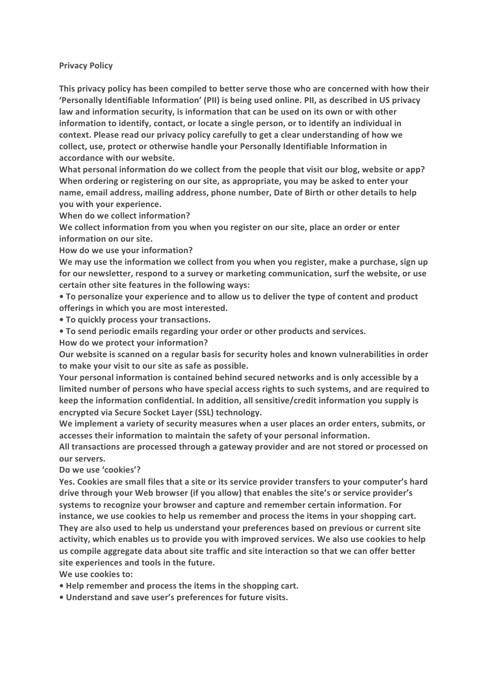## **Privacy Policy**

This privacy policy has been compiled to better serve those who are concerned with how their 'Personally Identifiable Information' (PII) is being used online. PII, as described in US privacy law and information security, is information that can be used on its own or with other **information to identify, contact, or locate a single person, or to identify an individual in** context. Please read our privacy policy carefully to get a clear understanding of how we collect, use, protect or otherwise handle your Personally Identifiable Information in **accordance with our website.**

What personal information do we collect from the people that visit our blog, website or app? When ordering or registering on our site, as appropriate, you may be asked to enter your name, email address, mailing address, phone number, Date of Birth or other details to help **you with your experience.** 

**When do we collect information?** 

We collect information from you when you register on our site, place an order or enter **information on our site.**

How do we use your information?

We may use the information we collect from you when you register, make a purchase, sign up for our newsletter, respond to a survey or marketing communication, surf the website, or use certain other site features in the following ways:

• To personalize your experience and to allow us to deliver the type of content and product offerings in which you are most interested.

**• To quickly process your transactions.** 

**• To send periodic emails regarding your order or other products and services.** 

How do we protect your information?

Our website is scanned on a regular basis for security holes and known vulnerabilities in order to make your visit to our site as safe as possible.

**Your personal information is contained behind secured networks and is only accessible by a** limited number of persons who have special access rights to such systems, and are required to keep the information confidential. In addition, all sensitive/credit information you supply is encrypted via Secure Socket Layer (SSL) technology.

We implement a variety of security measures when a user places an order enters, submits, or accesses their information to maintain the safety of your personal information.

All transactions are processed through a gateway provider and are not stored or processed on **our servers.**

Do we use 'cookies'?

Yes. Cookies are small files that a site or its service provider transfers to your computer's hard drive through your Web browser (if you allow) that enables the site's or service provider's systems to recognize your browser and capture and remember certain information. For **instance, we use cookies to help us remember and process the items in your shopping cart.** They are also used to help us understand your preferences based on previous or current site activity, which enables us to provide you with improved services. We also use cookies to help us compile aggregate data about site traffic and site interaction so that we can offer better site experiences and tools in the future.

We use cookies to:

• Help remember and process the items in the shopping cart.

**• Understand and save user's preferences for future visits.**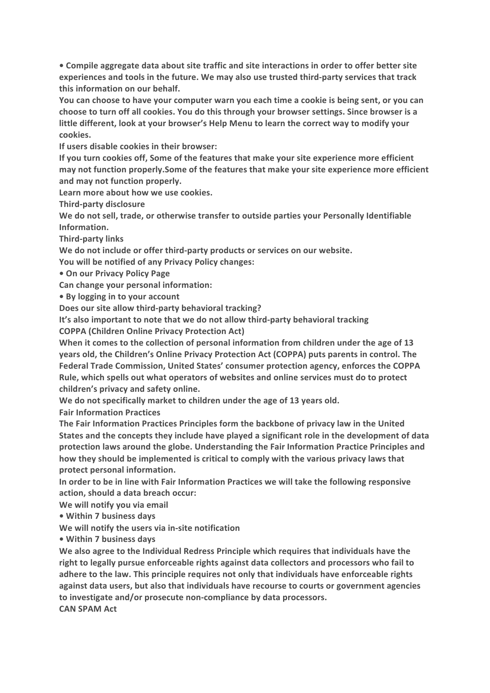• Compile aggregate data about site traffic and site interactions in order to offer better site experiences and tools in the future. We may also use trusted third-party services that track this information on our behalf.

You can choose to have your computer warn you each time a cookie is being sent, or you can choose to turn off all cookies. You do this through your browser settings. Since browser is a **little different, look at your browser's Help Menu to learn the correct way to modify your cookies.**

**If users disable cookies in their browser:** 

If you turn cookies off, Some of the features that make your site experience more efficient may not function properly. Some of the features that make your site experience more efficient and may not function properly.

Learn more about how we use cookies.

**Third-party disclosure**

We do not sell, trade, or otherwise transfer to outside parties your Personally Identifiable **Information.**

**Third-party links**

We do not include or offer third-party products or services on our website.

You will be notified of any Privacy Policy changes:

**• On our Privacy Policy Page**

**Can change your personal information:**

• By logging in to your account

**Does our site allow third-party behavioral tracking?** 

It's also important to note that we do not allow third-party behavioral tracking

**COPPA (Children Online Privacy Protection Act)**

When it comes to the collection of personal information from children under the age of 13 years old, the Children's Online Privacy Protection Act (COPPA) puts parents in control. The Federal Trade Commission, United States' consumer protection agency, enforces the COPPA Rule, which spells out what operators of websites and online services must do to protect **children's privacy and safety online.**

We do not specifically market to children under the age of 13 years old.

**Fair Information Practices** 

The Fair Information Practices Principles form the backbone of privacy law in the United States and the concepts they include have played a significant role in the development of data protection laws around the globe. Understanding the Fair Information Practice Principles and how they should be implemented is critical to comply with the various privacy laws that **protect personal information.**

In order to be in line with Fair Information Practices we will take the following responsive action, should a data breach occur:

We will notify you via email

**• Within 7 business days**

We will notify the users via in-site notification

**• Within 7 business days**

We also agree to the Individual Redress Principle which requires that individuals have the right to legally pursue enforceable rights against data collectors and processors who fail to adhere to the law. This principle requires not only that individuals have enforceable rights against data users, but also that individuals have recourse to courts or government agencies to investigate and/or prosecute non-compliance by data processors. **CAN SPAM Act**